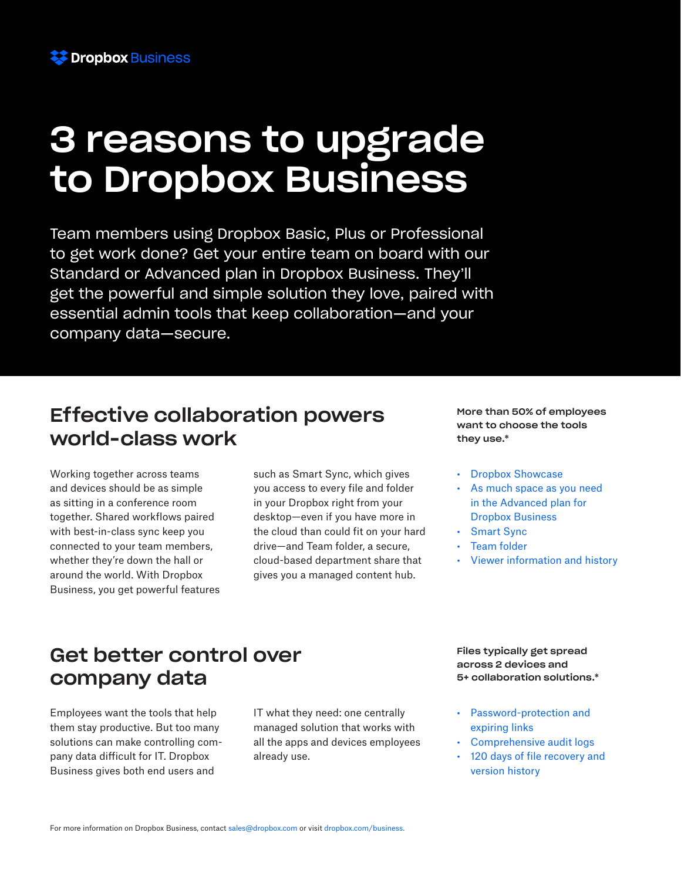

# 3 reasons to upgrade to Dropbox Business

Team members using Dropbox Basic, Plus or Professional to get work done? Get your entire team on board with our Standard or Advanced plan in Dropbox Business. They'll get the powerful and simple solution they love, paired with essential admin tools that keep collaboration—and your company data—secure.

### Effective collaboration powers world-class work

Working together across teams and devices should be as simple as sitting in a conference room together. Shared workflows paired with best-in-class sync keep you connected to your team members, whether they're down the hall or around the world. With Dropbox Business, you get powerful features such as Smart Sync, which gives you access to every file and folder in your Dropbox right from your desktop—even if you have more in the cloud than could fit on your hard drive—and Team folder, a secure, cloud-based department share that gives you a managed content hub.

More than 50% of employees want to choose the tools they use.\*

- Dropbox Showcase
- As much space as you need in the Advanced plan for Dropbox Business
- Smart Sync
- Team folder
- Viewer information and history

#### Get better control over company data

Employees want the tools that help them stay productive. But too many solutions can make controlling company data difficult for IT. Dropbox Business gives both end users and

IT what they need: one centrally managed solution that works with all the apps and devices employees already use.

Files typically get spread across 2 devices and 5+ collaboration solutions.\*

- Password-protection and expiring links
- Comprehensive audit logs
- 120 days of file recovery and version history